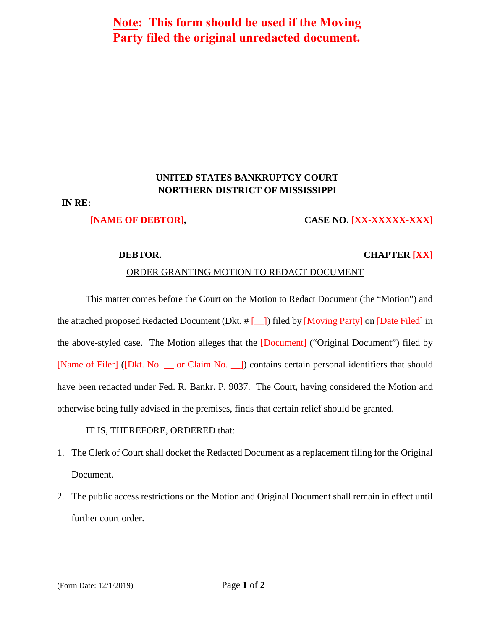# **Note: This form should be used if the Moving Party filed the original unredacted document.**

## **UNITED STATES BANKRUPTCY COURT NORTHERN DISTRICT OF MISSISSIPPI**

### **IN RE:**

#### **[NAME OF DEBTOR], CASE NO. [XX-XXXXX-XXX]**

### **DEBTOR. CHAPTER [XX]**

#### ORDER GRANTING MOTION TO REDACT DOCUMENT

This matter comes before the Court on the Motion to Redact Document (the "Motion") and the attached proposed Redacted Document (Dkt.  $\#$  [  $\#$  ]) filed by [Moving Party] on [Date Filed] in the above-styled case. The Motion alleges that the [Document] ("Original Document") filed by [Name of Filer] ([Dkt. No. \_\_ or Claim No. \_\_]) contains certain personal identifiers that should have been redacted under Fed. R. Bankr. P. 9037. The Court, having considered the Motion and otherwise being fully advised in the premises, finds that certain relief should be granted.

IT IS, THEREFORE, ORDERED that:

- 1. The Clerk of Court shall docket the Redacted Document as a replacement filing for the Original Document.
- 2. The public access restrictions on the Motion and Original Document shall remain in effect until further court order.